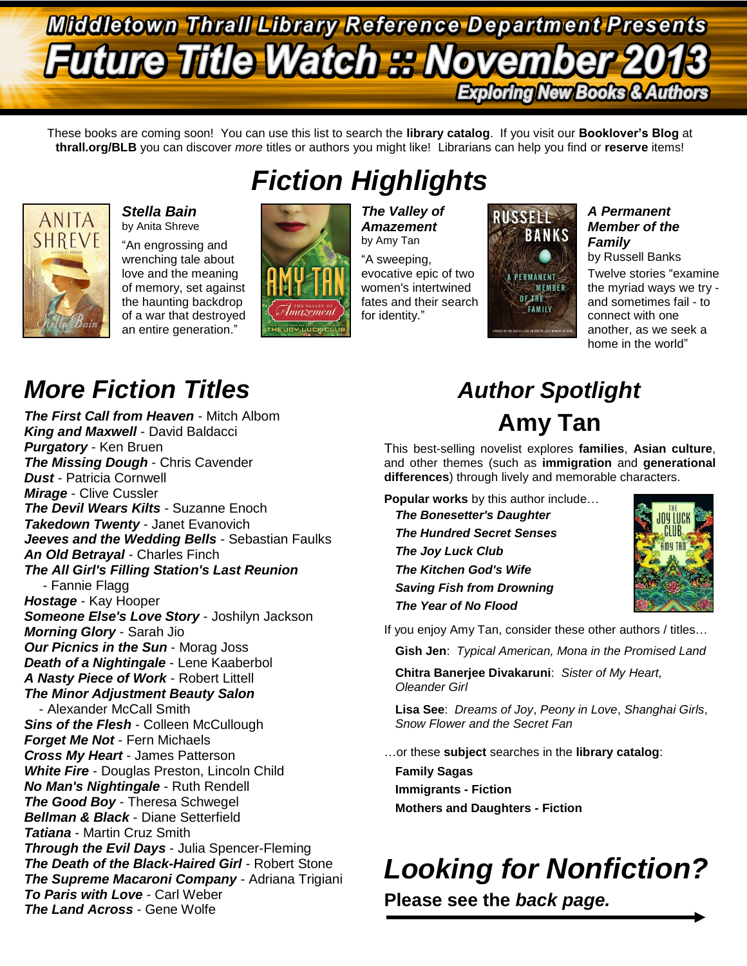## **Middletown Thrall Library Reference Department Presents Future Title Watch :: November 2 Exploring New Books & Authors**

These books are coming soon! You can use this list to search the **library catalog**. If you visit our **Booklover's Blog** at **thrall.org/BLB** you can discover *more* titles or authors you might like! Librarians can help you find or **reserve** items!



### *Stella Bain* by Anita Shreve

"An engrossing and wrenching tale about love and the meaning of memory, set against the haunting backdrop of a war that destroyed an entire generation."



*The Valley of Amazement* by Amy Tan

"A sweeping, evocative epic of two women's intertwined fates and their search for identity."



### *A Permanent Member of the Family*

by Russell Banks

Twelve stories "examine the myriad ways we try and sometimes fail - to connect with one another, as we seek a home in the world"

# *More Fiction Titles Author Spotlight*

*The First Call from Heaven* - Mitch Albom *King and Maxwell* - David Baldacci *Purgatory* - Ken Bruen *The Missing Dough* - Chris Cavender *Dust* - Patricia Cornwell *Mirage* - Clive Cussler *The Devil Wears Kilts* - Suzanne Enoch *Takedown Twenty* - Janet Evanovich *Jeeves and the Wedding Bells* - Sebastian Faulks *An Old Betrayal* - Charles Finch *The All Girl's Filling Station's Last Reunion* - Fannie Flagg *Hostage* - Kay Hooper *Someone Else's Love Story* - Joshilyn Jackson *Morning Glory* - Sarah Jio *Our Picnics in the Sun* - Morag Joss *Death of a Nightingale* - Lene Kaaberbol *A Nasty Piece of Work* - Robert Littell *The Minor Adjustment Beauty Salon* - Alexander McCall Smith **Sins of the Flesh - Colleen McCullough** *Forget Me Not* - Fern Michaels *Cross My Heart* - James Patterson *White Fire* - Douglas Preston, Lincoln Child *No Man's Nightingale* - Ruth Rendell *The Good Boy* - Theresa Schwegel *Bellman & Black* - Diane Setterfield *Tatiana* - Martin Cruz Smith *Through the Evil Days* - Julia Spencer-Fleming *The Death of the Black-Haired Girl* - Robert Stone *The Supreme Macaroni Company* - Adriana Trigiani *To Paris with Love* - Carl Weber *The Land Across* - Gene Wolfe

# **Amy Tan**

This best-selling novelist explores **families**, **Asian culture**, and other themes (such as **immigration** and **generational differences**) through lively and memorable characters.

**Popular works** by this author include… *The Bonesetter's Daughter The Hundred Secret Senses The Joy Luck Club The Kitchen God's Wife Saving Fish from Drowning The Year of No Flood*



If you enjoy Amy Tan, consider these other authors / titles…

**Gish Jen**: *Typical American, Mona in the Promised Land*

**Chitra Banerjee Divakaruni**: *Sister of My Heart, Oleander Girl*

**Lisa See**: *Dreams of Joy*, *Peony in Love*, *Shanghai Girls*, *Snow Flower and the Secret Fan*

…or these **subject** searches in the **library catalog**:

**Family Sagas Immigrants - Fiction Mothers and Daughters - Fiction**

# *Looking for Nonfiction?*

**Please see the** *back page.*